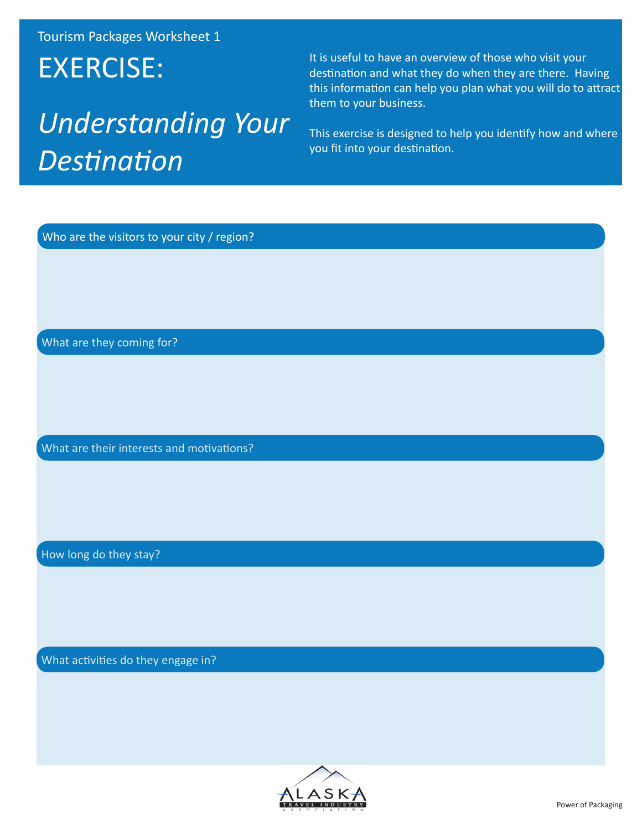# EXERCISE:

# *Understanding Your Destination*

It is useful to have an overview of those who visit your destination and what they do when they are there. Having this information can help you plan what you will do to attract them to your business.

This exercise is designed to help you identify how and where you fit into your destination.

Who are the visitors to your city / region?

What are they coming for?

What are their interests and motivations?

How long do they stay?

What activities do they engage in?

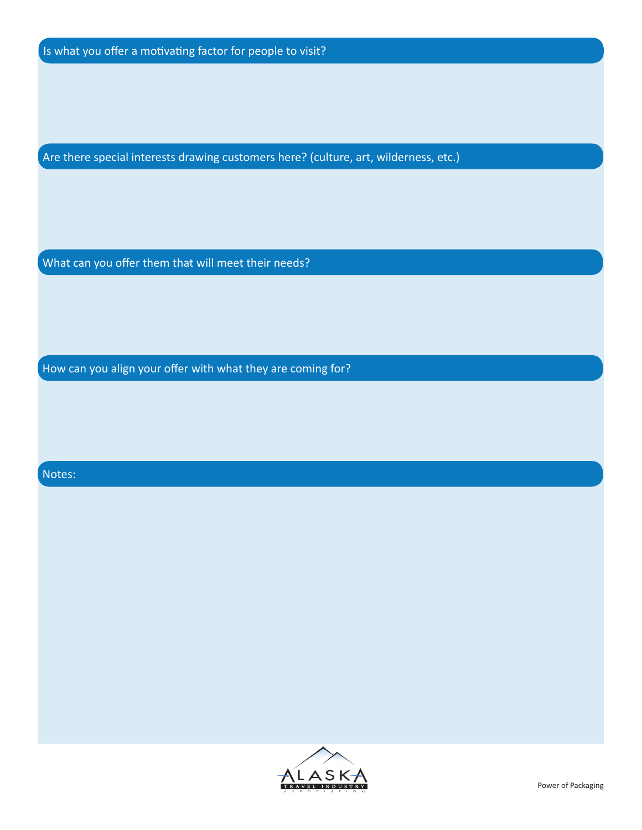Are there special interests drawing customers here? (culture, art, wilderness, etc.)

What can you offer them that will meet their needs?

How can you align your offer with what they are coming for?

#### Notes:

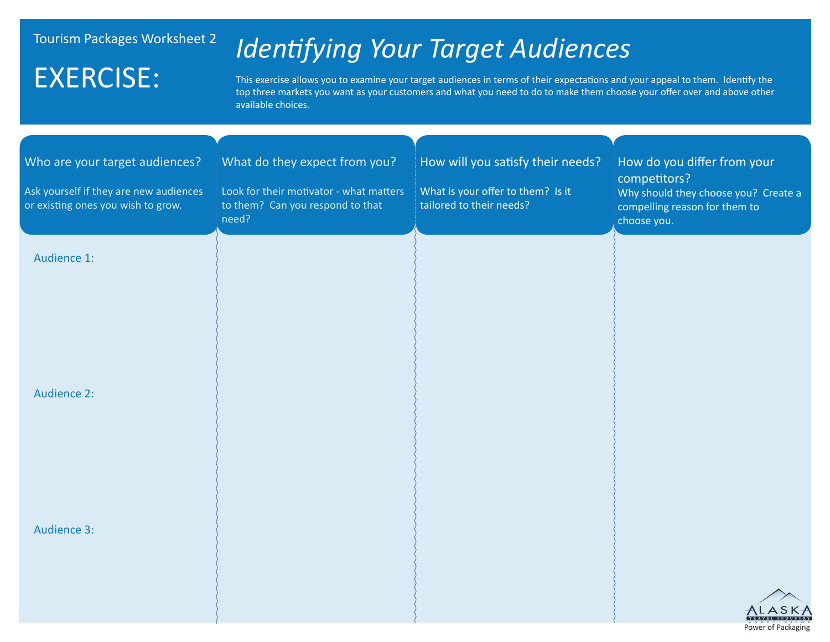## EXERCISE:

## *Identifying Your Target Audiences*

This exercise allows you to examine your target audiences in terms of their expectations and your appeal to them. Identify the top three markets you want as your customers and what you need to do to make them choose your offer over and above other available choices.

| Who are your target audiences?                                               | What do they expect from you?                                                        | How will you satisfy their needs?                             | How do you differ from your                                                                          |
|------------------------------------------------------------------------------|--------------------------------------------------------------------------------------|---------------------------------------------------------------|------------------------------------------------------------------------------------------------------|
| Ask yourself if they are new audiences<br>or existing ones you wish to grow. | Look for their motivator - what matters<br>to them? Can you respond to that<br>need? | What is your offer to them? Is it<br>tailored to their needs? | competitors?<br>Why should they choose you? Create a<br>compelling reason for them to<br>choose you. |
| Audience 1:                                                                  |                                                                                      |                                                               |                                                                                                      |
|                                                                              |                                                                                      |                                                               |                                                                                                      |
|                                                                              |                                                                                      |                                                               |                                                                                                      |
| <b>Audience 2:</b>                                                           |                                                                                      |                                                               |                                                                                                      |
|                                                                              |                                                                                      |                                                               |                                                                                                      |
|                                                                              |                                                                                      |                                                               |                                                                                                      |
| <b>Audience 3:</b>                                                           |                                                                                      |                                                               |                                                                                                      |
|                                                                              |                                                                                      |                                                               |                                                                                                      |
|                                                                              |                                                                                      |                                                               | TRAVEL INDUSTRY<br>Power of Packaging                                                                |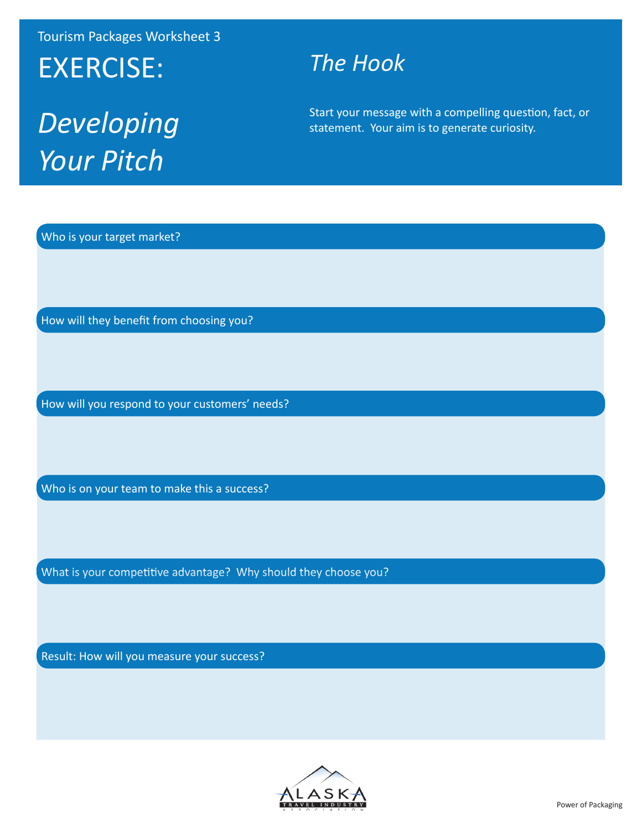# EXERCISE:

# *Developing Your Pitch*

### *The Hook*

Start your message with a compelling question, fact, or statement. Your aim is to generate curiosity.

Who is your target market?

How will they benefit from choosing you?

How will you respond to your customers' needs?

Who is on your team to make this a success?

What is your competitive advantage? Why should they choose you?

Result: How will you measure your success?

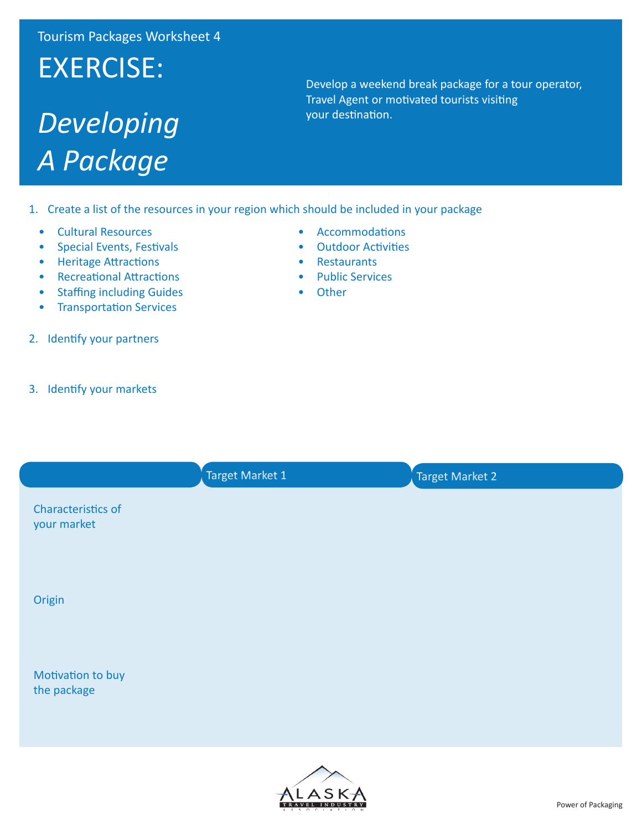# EXERCISE:

# *Developing A Package*

Develop a weekend break package for a tour operator, Travel Agent or motivated tourists visiting your destination.

1. Create a list of the resources in your region which should be included in your package

• Accommodations • Outdoor Activities

• Restaurants • Public Services

• Other

- Cultural Resources
- Special Events, Festivals
- Heritage Attractions
- Recreational Attractions
- Staffing including Guides
- **Transportation Services**
- 2. Identify your partners
- 3. Identify your markets
- Target Market 1 and Target Market 2 Characteristics of your market Origin Motivation to buy the package

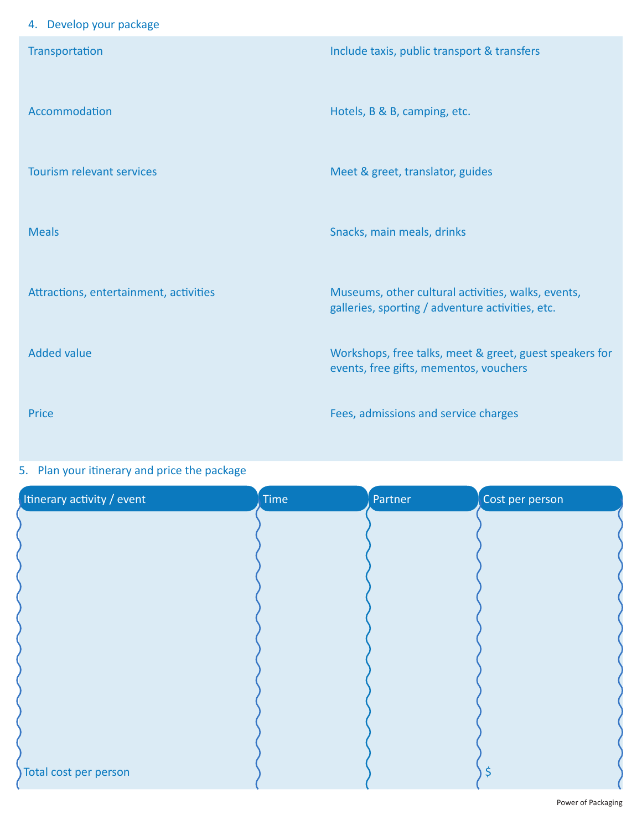### 4. Develop your package

| Transportation                         | Include taxis, public transport & transfers             |
|----------------------------------------|---------------------------------------------------------|
|                                        |                                                         |
| Accommodation                          | Hotels, B & B, camping, etc.                            |
|                                        |                                                         |
|                                        |                                                         |
| <b>Tourism relevant services</b>       | Meet & greet, translator, guides                        |
|                                        |                                                         |
| <b>Meals</b>                           | Snacks, main meals, drinks                              |
|                                        |                                                         |
| Attractions, entertainment, activities | Museums, other cultural activities, walks, events,      |
|                                        | galleries, sporting / adventure activities, etc.        |
| <b>Added value</b>                     | Workshops, free talks, meet & greet, guest speakers for |
|                                        | events, free gifts, mementos, vouchers                  |
| Price                                  | Fees, admissions and service charges                    |
|                                        |                                                         |

### 5. Plan your itinerary and price the package

| Itinerary activity / event | Time | Partner | Cost per person |
|----------------------------|------|---------|-----------------|
|                            |      |         |                 |
|                            |      |         |                 |
|                            |      |         |                 |
|                            |      |         |                 |
|                            |      |         |                 |
|                            |      |         |                 |
|                            |      |         |                 |
|                            |      |         |                 |
|                            |      |         |                 |
| Total cost per person      |      |         | $\varsigma$     |